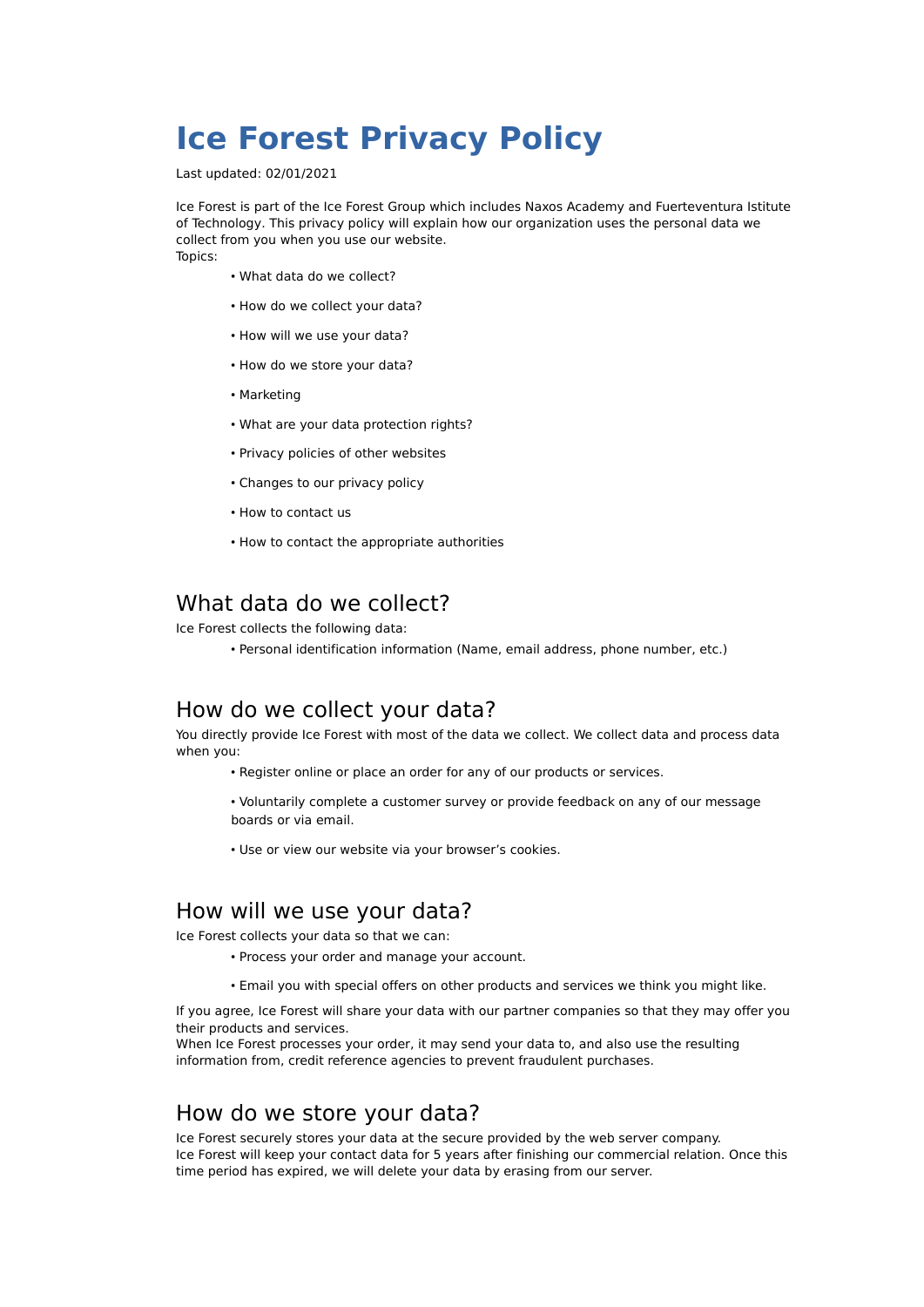# **Ice Forest Privacy Policy**

Last updated: 02/01/2021

Ice Forest is part of the Ice Forest Group which includes Naxos Academy and Fuerteventura Istitute of Technology. This privacy policy will explain how our organization uses the personal data we collect from you when you use our website. Topics:

• What data do we collect?

- How do we collect your data?
- How will we use your data?
- How do we store your data?
- Marketing
- What are your data protection rights?
- Privacy policies of other websites
- Changes to our privacy policy
- How to contact us
- How to contact the appropriate authorities

#### What data do we collect?

Ice Forest collects the following data:

• Personal identification information (Name, email address, phone number, etc.)

#### How do we collect your data?

You directly provide Ice Forest with most of the data we collect. We collect data and process data when you:

- Register online or place an order for any of our products or services.
- Voluntarily complete a customer survey or provide feedback on any of our message boards or via email.
- Use or view our website via your browser's cookies.

#### How will we use your data?

Ice Forest collects your data so that we can:

- Process your order and manage your account.
- Email you with special offers on other products and services we think you might like.

If you agree, Ice Forest will share your data with our partner companies so that they may offer you their products and services.

When Ice Forest processes your order, it may send your data to, and also use the resulting information from, credit reference agencies to prevent fraudulent purchases.

#### How do we store your data?

Ice Forest securely stores your data at the secure provided by the web server company. Ice Forest will keep your contact data for 5 years after finishing our commercial relation. Once this time period has expired, we will delete your data by erasing from our server.